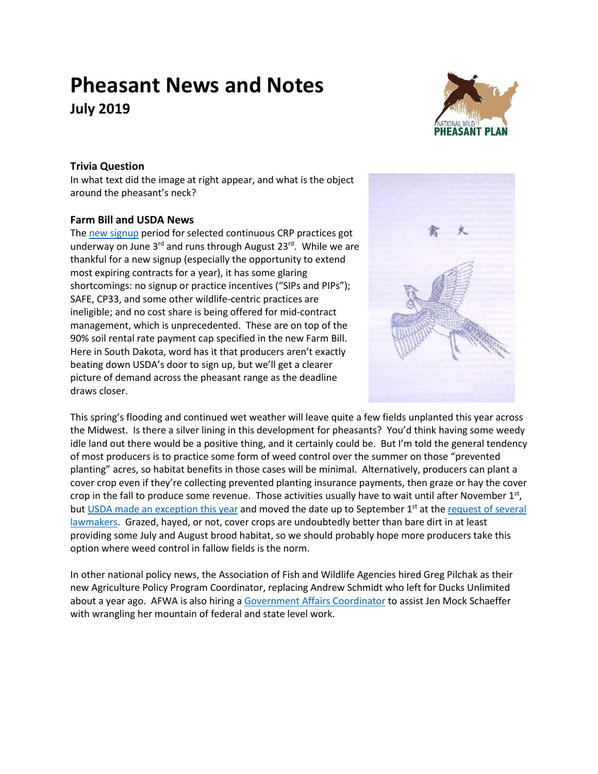# **Pheasant News and Notes July 2019**



## **Trivia Question**

In what text did the image at right appear, and what is the object around the pheasant's neck?

### **Farm Bill and USDA News**

The [new signup](https://www.fsa.usda.gov/Assets/USDA-FSA-Public/usdafiles/Conservation/PDF/FSA-ContinuousCRP-Factsheet%20-%20SU52.pdf) period for selected continuous CRP practices got underway on June 3<sup>rd</sup> and runs through August 23<sup>rd</sup>. While we are thankful for a new signup (especially the opportunity to extend most expiring contracts for a year), it has some glaring shortcomings: no signup or practice incentives ("SIPs and PIPs"); SAFE, CP33, and some other wildlife-centric practices are ineligible; and no cost share is being offered for mid-contract management, which is unprecedented. These are on top of the 90% soil rental rate payment cap specified in the new Farm Bill. Here in South Dakota, word has it that producers aren't exactly beating down USDA's door to sign up, but we'll get a clearer picture of demand across the pheasant range as the deadline draws closer.



This spring's flooding and continued wet weather will leave quite a few fields unplanted this year across the Midwest. Is there a silver lining in this development for pheasants? You'd think having some weedy idle land out there would be a positive thing, and it certainly could be. But I'm told the general tendency of most producers is to practice some form of weed control over the summer on those "prevented planting" acres, so habitat benefits in those cases will be minimal. Alternatively, producers can plant a cover crop even if they're collecting prevented planting insurance payments, then graze or hay the cover crop in the fall to produce some revenue. Those activities usually have to wait until after November 1st, bu[t USDA made an exception this year](https://www.rma.usda.gov/News-Room/Press/Press-Releases/2019-News/RMA-Announces-Change-to-Haying-and-Grazing-Date) and moved the date up to September  $1<sup>st</sup>$  at the request of several [lawmakers.](https://dustyjohnson.house.gov/media/press-releases/johnson-craig-introduce-bill-address-forage-shortages-disaster-years) Grazed, hayed, or not, cover crops are undoubtedly better than bare dirt in at least providing some July and August brood habitat, so we should probably hope more producers take this option where weed control in fallow fields is the norm.

In other national policy news, the Association of Fish and Wildlife Agencies hired Greg Pilchak as their new Agriculture Policy Program Coordinator, replacing Andrew Schmidt who left for Ducks Unlimited about a year ago. AFWA is also hiring a [Government Affairs Coordinator](https://www.fishwildlife.org/application/files/9215/5973/9786/AFWA_Government_Affairs_Coordinator_Announcement.pdf) to assist Jen Mock Schaeffer with wrangling her mountain of federal and state level work.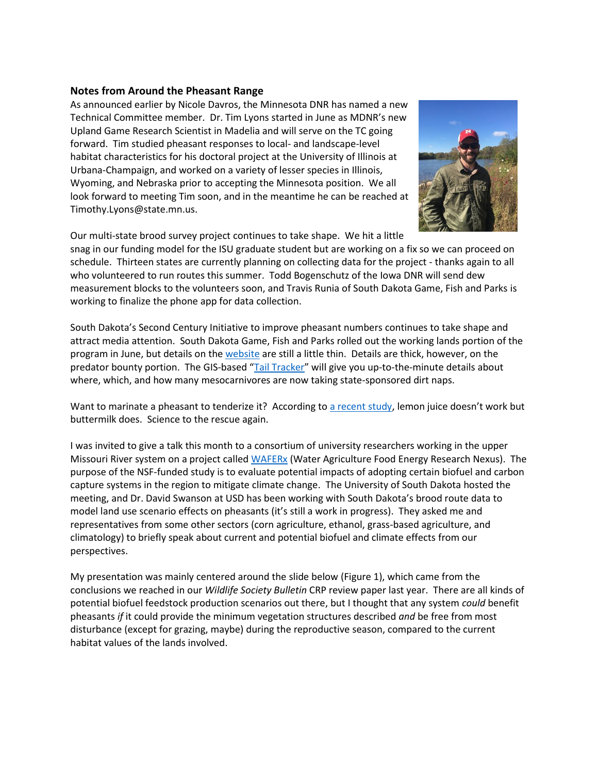#### **Notes from Around the Pheasant Range**

As announced earlier by Nicole Davros, the Minnesota DNR has named a new Technical Committee member. Dr. Tim Lyons started in June as MDNR's new Upland Game Research Scientist in Madelia and will serve on the TC going forward. Tim studied pheasant responses to local- and landscape-level habitat characteristics for his doctoral project at the University of Illinois at Urbana-Champaign, and worked on a variety of lesser species in Illinois, Wyoming, and Nebraska prior to accepting the Minnesota position. We all look forward to meeting Tim soon, and in the meantime he can be reached at Timothy.Lyons@state.mn.us.



Our multi-state brood survey project continues to take shape. We hit a little

snag in our funding model for the ISU graduate student but are working on a fix so we can proceed on schedule. Thirteen states are currently planning on collecting data for the project - thanks again to all who volunteered to run routes this summer. Todd Bogenschutz of the Iowa DNR will send dew measurement blocks to the volunteers soon, and Travis Runia of South Dakota Game, Fish and Parks is working to finalize the phone app for data collection.

South Dakota's Second Century Initiative to improve pheasant numbers continues to take shape and attract media attention. South Dakota Game, Fish and Parks rolled out the working lands portion of the program in June, but details on the [website](https://gfp.sd.gov/habitat-approaches/) are still a little thin. Details are thick, however, on the predator bounty portion. The GIS-based "[Tail Tracker](https://sdgfp.maps.arcgis.com/apps/opsdashboard/index.html#/e7bbbd6fa93b48c6a31985aa7c57c5ff)" will give you up-to-the-minute details about where, which, and how many mesocarnivores are now taking state-sponsored dirt naps.

Want to marinate a pheasant to tenderize it? According to [a recent study](https://www.hindawi.com/journals/jfq/2019/5313496/abs/), lemon juice doesn't work but buttermilk does. Science to the rescue again.

I was invited to give a talk this month to a consortium of university researchers working in the upper Missouri River system on a project called [WAFERx](http://waferx.montana.edu/) (Water Agriculture Food Energy Research Nexus). The purpose of the NSF-funded study is to evaluate potential impacts of adopting certain biofuel and carbon capture systems in the region to mitigate climate change. The University of South Dakota hosted the meeting, and Dr. David Swanson at USD has been working with South Dakota's brood route data to model land use scenario effects on pheasants (it's still a work in progress). They asked me and representatives from some other sectors (corn agriculture, ethanol, grass-based agriculture, and climatology) to briefly speak about current and potential biofuel and climate effects from our perspectives.

My presentation was mainly centered around the slide below (Figure 1), which came from the conclusions we reached in our *Wildlife Society Bulletin* CRP review paper last year. There are all kinds of potential biofuel feedstock production scenarios out there, but I thought that any system *could* benefit pheasants *if* it could provide the minimum vegetation structures described *and* be free from most disturbance (except for grazing, maybe) during the reproductive season, compared to the current habitat values of the lands involved.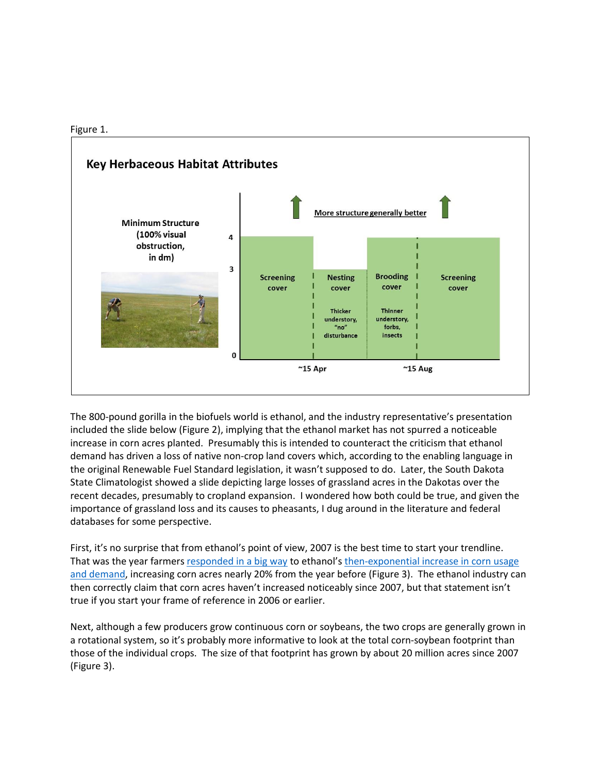



The 800-pound gorilla in the biofuels world is ethanol, and the industry representative's presentation included the slide below (Figure 2), implying that the ethanol market has not spurred a noticeable increase in corn acres planted. Presumably this is intended to counteract the criticism that ethanol demand has driven a loss of native non-crop land covers which, according to the enabling language in the original Renewable Fuel Standard legislation, it wasn't supposed to do. Later, the South Dakota State Climatologist showed a slide depicting large losses of grassland acres in the Dakotas over the recent decades, presumably to cropland expansion. I wondered how both could be true, and given the importance of grassland loss and its causes to pheasants, I dug around in the literature and federal databases for some perspective.

First, it's no surprise that from ethanol's point of view, 2007 is the best time to start your trendline. That was the year farmers [responded in a big way](https://www.purdue.edu/uns/x/2007a/070402HurtPlantings.html) to ethanol's [then-exponential increase in corn usage](https://www.eia.gov/todayinenergy/detail.php?id=21212)  [and demand,](https://www.eia.gov/todayinenergy/detail.php?id=21212) increasing corn acres nearly 20% from the year before (Figure 3). The ethanol industry can then correctly claim that corn acres haven't increased noticeably since 2007, but that statement isn't true if you start your frame of reference in 2006 or earlier.

Next, although a few producers grow continuous corn or soybeans, the two crops are generally grown in a rotational system, so it's probably more informative to look at the total corn-soybean footprint than those of the individual crops. The size of that footprint has grown by about 20 million acres since 2007 (Figure 3).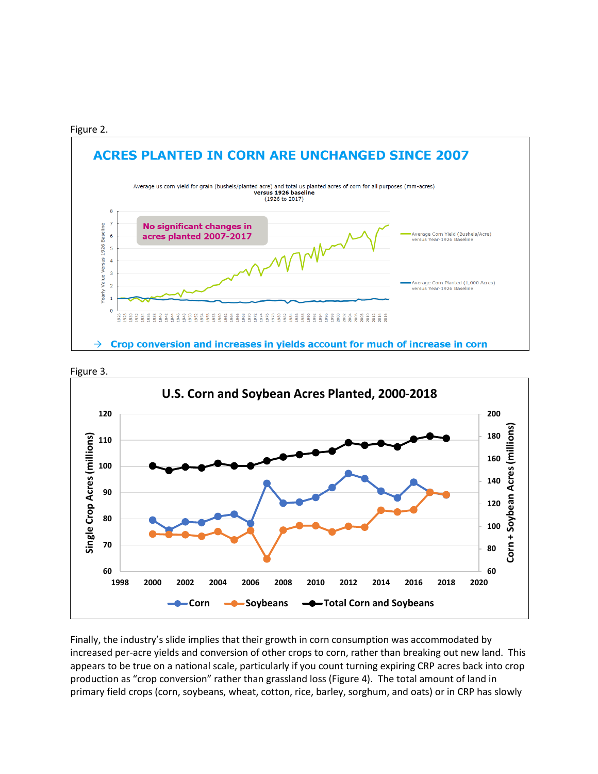





Finally, the industry's slide implies that their growth in corn consumption was accommodated by increased per-acre yields and conversion of other crops to corn, rather than breaking out new land. This appears to be true on a national scale, particularly if you count turning expiring CRP acres back into crop production as "crop conversion" rather than grassland loss (Figure 4). The total amount of land in primary field crops (corn, soybeans, wheat, cotton, rice, barley, sorghum, and oats) or in CRP has slowly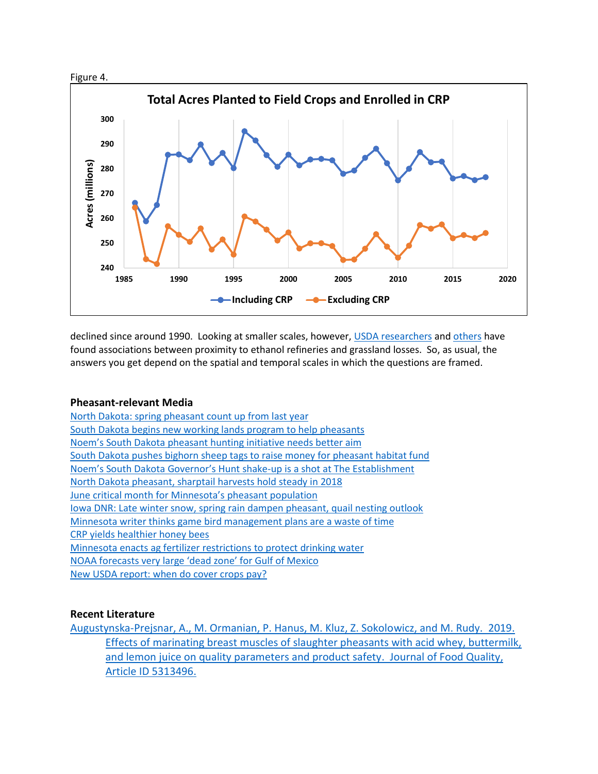



declined since around 1990. Looking at smaller scales, however[, USDA researchers](https://academic.oup.com/ajae/article/98/3/726/2195670) and [others](https://iopscience.iop.org/article/10.1088/1748-9326/aa6446) have found associations between proximity to ethanol refineries and grassland losses. So, as usual, the answers you get depend on the spatial and temporal scales in which the questions are framed.

#### **Pheasant-relevant Media**

[North Dakota: spring pheasant count up from last year](https://www.tsln.com/news/north-dakota-spring-pheasant-count-up-from-last-year/) South Dakota [begins new working lands program to help pheasants](https://www.argusleader.com/story/news/politics/2019/06/20/game-fish-and-parks-pheasant-habitat-gov-kristi-noem-second-century/1477497001/) Noem's South Dakota [pheasant hunting initiative needs better aim](https://www.argusleader.com/story/opinion/editorials/2019/05/31/editorial-noems-pheasant-hunting-initiative-needs-better-aim/1300631001/) South Dakota [pushes bighorn sheep tags to raise money for pheasant habitat fund](https://www.argusleader.com/story/news/politics/2019/06/07/state-pushes-spendy-bighorn-sheep-tags-raise-money-pheasant-habitat-fund/1367388001/) Noem's South Dakota Governor's Hunt [shake-up is a shot at The Establishment](https://www.argusleader.com/story/opinion/2019/06/13/ellis-noems-pheasant-hunt-shake-up-shot-establishment/1444805001/) [North Dakota pheasant, sharptail harvests hold steady in 2018](https://www.grandforksherald.com/sports/outdoors/2736536-North-Dakota-pheasant-sharptail-harvests-hold-steady-in-2018-while-hunters-take-fewer-Hungarian-partridges) [June critical month for](https://www.fergusfallsjournal.com/2019/06/june-critical-month-for-pheasant-population/) Minnesota's pheasant population [Iowa DNR: Late winter snow, spring rain dampen pheasant, quail nesting outlook](https://globegazette.com/outdoors/iowa-dnr-late-winter-snow-spring-rain-dampen-pheasant-quail/article_2fc82469-7e27-51cd-b575-a52c6e2ef757.html) Minnesota writer thinks [game bird management plans are a waste of time](http://www.startribune.com/actions-not-well-intentioned-plans-are-needed-to-save-minnesota-s-game-birds/512005332/) [CRP yields healthier honey bees](https://www.usda.gov/media/blog/2019/06/19/boosting-bee-healthnaturally) [Minnesota enacts ag fertilizer restrictions](http://www.startribune.com/landmark-farm-rule-aims-to-protect-minnesota-s-drinking-water/511025391/) to protect drinking water NOAA forecast[s very large 'dead zone' for Gulf of Mexico](https://www.noaa.gov/media-release/noaa-forecasts-very-large-dead-zone-for-gulf-of-mexico) [New USDA report: when do cover crops pay?](https://www.sare.org/Newsroom/Press-Releases/When-Do-Cover-Crops-Pay-New-USDA-SARE-Report-Addresses-the-Question)

#### **Recent Literature**

[Augustynska-Prejsnar, A., M. Ormanian, P. Hanus, M. Kluz, Z. Sokolowicz, and M. Rudy. 2019.](https://www.hindawi.com/journals/jfq/2019/5313496/abs/)  [Effects of marinating breast muscles of slaughter pheasants with acid whey, buttermilk,](https://www.hindawi.com/journals/jfq/2019/5313496/abs/)  [and lemon juice on quality parameters and product safety. Journal of Food Quality,](https://www.hindawi.com/journals/jfq/2019/5313496/abs/)  [Article ID 5313496.](https://www.hindawi.com/journals/jfq/2019/5313496/abs/)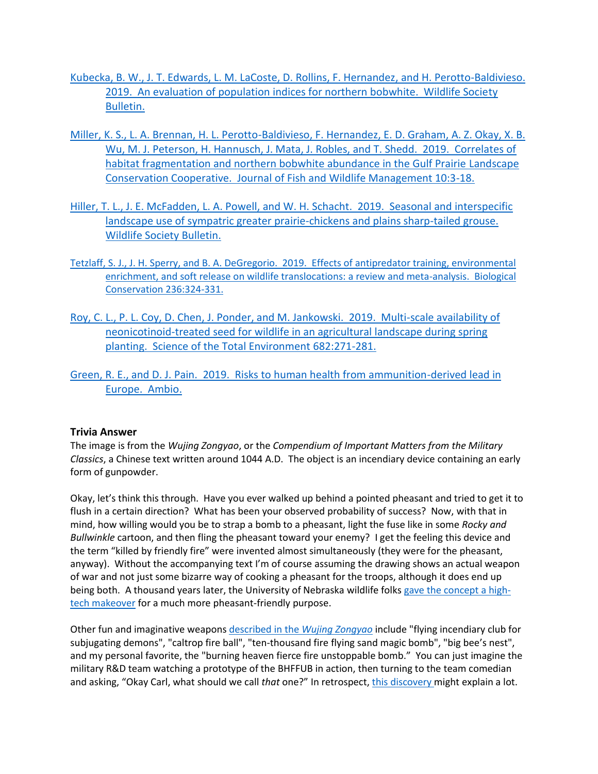- [Kubecka, B. W., J. T. Edwards, L. M. LaCoste, D. Rollins, F. Hernandez, and H. Perotto-Baldivieso.](https://wildlife.onlinelibrary.wiley.com/doi/full/10.1002/wsb.972)  [2019. An evaluation of population indices for northern bobwhite. Wildlife Society](https://wildlife.onlinelibrary.wiley.com/doi/full/10.1002/wsb.972)  [Bulletin.](https://wildlife.onlinelibrary.wiley.com/doi/full/10.1002/wsb.972)
- [Miller, K. S., L. A. Brennan, H. L. Perotto-Baldivieso, F. Hernandez, E. D. Graham, A. Z. Okay, X. B.](https://fwspubs.org/doi/full/10.3996/112017-JFWM-094)  [Wu, M. J. Peterson, H. Hannusch, J. Mata, J. Robles, and T. Shedd. 2019. Correlates of](https://fwspubs.org/doi/full/10.3996/112017-JFWM-094)  [habitat fragmentation and northern bobwhite abundance in the Gulf Prairie](https://fwspubs.org/doi/full/10.3996/112017-JFWM-094) Landscape [Conservation Cooperative. Journal of Fish and Wildlife Management 10:3-18.](https://fwspubs.org/doi/full/10.3996/112017-JFWM-094)
- [Hiller, T. L., J. E. McFadden, L. A. Powell, and W. H. Schacht. 2019. Seasonal and interspecific](https://wildlife.onlinelibrary.wiley.com/doi/10.1002/wsb.966)  [landscape use of sympatric greater prairie-chickens and plains sharp-tailed grouse.](https://wildlife.onlinelibrary.wiley.com/doi/10.1002/wsb.966)  [Wildlife Society Bulletin.](https://wildlife.onlinelibrary.wiley.com/doi/10.1002/wsb.966)
- [Tetzlaff, S. J., J. H. Sperry, and B. A. DeGregorio. 2019. Effects of antipredator training, environmental](https://www.sciencedirect.com/science/article/abs/pii/S0006320719303040)  [enrichment, and soft release on wildlife translocations: a review and meta-analysis. Biological](https://www.sciencedirect.com/science/article/abs/pii/S0006320719303040)  [Conservation 236:324-331.](https://www.sciencedirect.com/science/article/abs/pii/S0006320719303040)
- [Roy, C. L., P. L. Coy, D. Chen, J. Ponder, and M. Jankowski. 2019. Multi-scale availability of](https://www.sciencedirect.com/science/article/pii/S0048969719320212)  [neonicotinoid-treated seed for wildlife in an agricultural landscape during spring](https://www.sciencedirect.com/science/article/pii/S0048969719320212)  [planting. Science of the Total Environment](https://www.sciencedirect.com/science/article/pii/S0048969719320212) 682:271-281.
- [Green, R. E., and D. J. Pain. 2019. Risks to human health from ammunition-derived lead in](https://link.springer.com/article/10.1007/s13280-019-01194-x#citeas)  [Europe. Ambio.](https://link.springer.com/article/10.1007/s13280-019-01194-x#citeas)

#### **Trivia Answer**

The image is from the *Wujing Zongyao*, or the *Compendium of Important Matters from the Military Classics*, a Chinese text written around 1044 A.D. The object is an incendiary device containing an early form of gunpowder.

Okay, let's think this through. Have you ever walked up behind a pointed pheasant and tried to get it to flush in a certain direction? What has been your observed probability of success? Now, with that in mind, how willing would you be to strap a bomb to a pheasant, light the fuse like in some *Rocky and Bullwinkle* cartoon, and then fling the pheasant toward your enemy? I get the feeling this device and the term "killed by friendly fire" were invented almost simultaneously (they were for the pheasant, anyway). Without the accompanying text I'm of course assuming the drawing shows an actual weapon of war and not just some bizarre way of cooking a pheasant for the troops, although it does end up being both. A thousand years later, the University of Nebraska wildlife folks [gave the concept a high](https://www.youtube.com/watch?v=hXwtxm3Lfnk)[tech makeover](https://www.youtube.com/watch?v=hXwtxm3Lfnk) for a much more pheasant-friendly purpose.

Other fun and imaginative weapon[s described in the](https://en.wikipedia.org/wiki/History_of_gunpowder) *Wujing Zongyao* include "flying incendiary club for subjugating demons", "caltrop fire ball", "ten-thousand fire flying sand magic bomb", "big bee's nest", and my personal favorite, the "burning heaven fierce fire unstoppable bomb." You can just imagine the military R&D team watching a prototype of the BHFFUB in action, then turning to the team comedian and asking, "Okay Carl, what should we call *that* one?" In retrospect, [this discovery](https://apnews.com/58838bed92544a40a5ff9e20f3768498) might explain a lot.